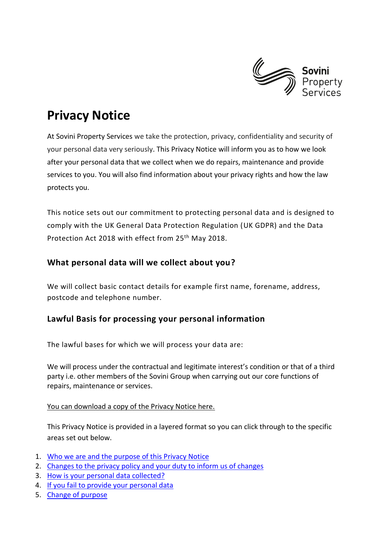

# **Privacy Notice**

At Sovini Property Services we take the protection, privacy, confidentiality and security of your personal data very seriously. This Privacy Notice will inform you as to how we look after your personal data that we collect when we do repairs, maintenance and provide services to you. You will also find information about your privacy rights and how the law protects you.

This notice sets out our commitment to protecting personal data and is designed to comply with the UK General Data Protection Regulation (UK GDPR) and the Data Protection Act 2018 with effect from 25th May 2018.

# **What personal data will we collect about you?**

We will collect basic contact details for example first name, forename, address, postcode and telephone number.

# **Lawful Basis for processing your personal information**

The lawful bases for which we will process your data are:

We will process under the contractual and legitimate interest's condition or that of a third party i.e. other members of the Sovini Group when carrying out our core functions of repairs, maintenance or services.

# You can download a copy of the Privacy Notice here.

<span id="page-0-0"></span>This Privacy Notice is provided in a layered format so you can click through to the specific areas set out below.

- 1. [Who we are and the purpose of this Privacy Notice](#page-1-0)
- 2. [Changes to the privacy policy and your duty to inform us of changes](#page-1-1)
- 3. [How is your personal data collected?](#page-1-2)
- 4. [If you fail to provide your personal data](#page-1-3)
- 5. [Change of purpose](#page-2-0)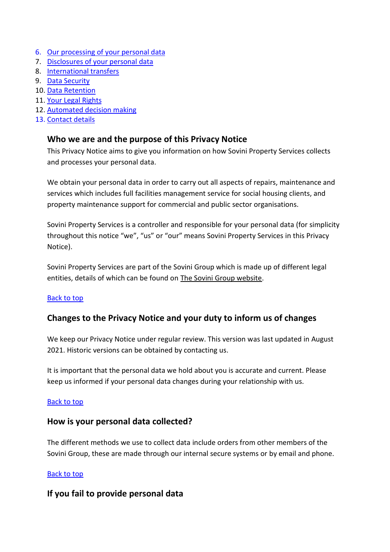- 6. Our [processing of your personal data](#page-2-1)
- 7. [Disclosures of your personal data](#page-2-2)
- 8. [International transfers](#page-2-3)
- 9. [Data Security](#page-3-0)
- 10. [Data Retention](#page-3-1)
- 11. [Your Legal Rights](#page-3-2)
- 12. [Automated decision making](#page-5-0)
- 13. [Contact details](#page-5-1)

# <span id="page-1-0"></span>**Who we are and the purpose of this Privacy Notice**

This Privacy Notice aims to give you information on how Sovini Property Services collects and processes your personal data.

We obtain your personal data in order to carry out all aspects of repairs, maintenance and services which includes full facilities management service for social housing clients, and property maintenance support for commercial and public sector organisations.

Sovini Property Services is a controller and responsible for your personal data (for simplicity throughout this notice "we", "us" or "our" means Sovini Property Services in this Privacy Notice).

Sovini Property Services are part of the Sovini Group which is made up of different legal entities, details of which can be found on [The Sovini Group website.](http://www.sovini.co.uk/)

#### [Back to top](#page-0-0)

# <span id="page-1-1"></span>**Changes to the Privacy Notice and your duty to inform us of changes**

We keep our Privacy Notice under regular review. This version was last updated in August 2021. Historic versions can be obtained by contacting us.

It is important that the personal data we hold about you is accurate and current. Please keep us informed if your personal data changes during your relationship with us.

#### [Back to top](#page-0-0)

# <span id="page-1-2"></span>**How is your personal data collected?**

The different methods we use to collect data include orders from other members of the Sovini Group, these are made through our internal secure systems or by email and phone.

#### [Back to top](#page-0-0)

# <span id="page-1-3"></span>**If you fail to provide personal data**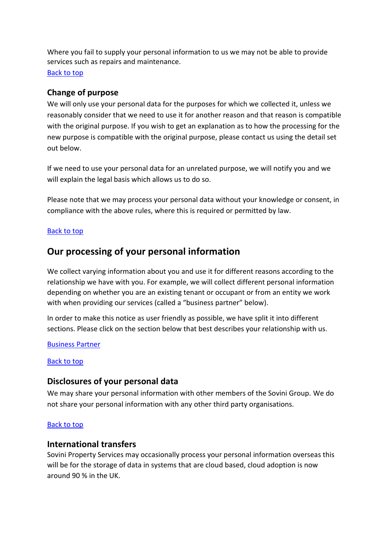<span id="page-2-0"></span>Where you fail to supply your personal information to us we may not be able to provide services such as repairs and maintenance. [Back to top](#page-0-0)

# **Change of purpose**

We will only use your personal data for the purposes for which we collected it, unless we reasonably consider that we need to use it for another reason and that reason is compatible with the original purpose. If you wish to get an explanation as to how the processing for the new purpose is compatible with the original purpose, please contact us using the detail set out below.

If we need to use your personal data for an unrelated purpose, we will notify you and we will explain the legal basis which allows us to do so.

Please note that we may process your personal data without your knowledge or consent, in compliance with the above rules, where this is required or permitted by law.

#### [Back to top](#page-0-0)

# <span id="page-2-1"></span>**Our processing of your personal information**

We collect varying information about you and use it for different reasons according to the relationship we have with you. For example, we will collect different personal information depending on whether you are an existing tenant or occupant or from an entity we work with when providing our services (called a "business partner" below).

In order to make this notice as user friendly as possible, we have split it into different sections. Please click on the section below that best describes your relationship with us.

#### [Business Partner](file://///group/data/documents/Sovini%20Corporate/Quality%20and%20Environmental/Private/Data%20Management/GDPR/Privacy%20Notice/Sovini%20Property%20Services%20Privacy%20Notice/August%202021%20-%20KH/Privacy%20Notice%20Business%20Partner%20August%202021%20-%20KH.docx)

#### [Back to top](#page-0-0)

# <span id="page-2-2"></span>**Disclosures of your personal data**

We may share your personal information with other members of the Sovini Group. We do not share your personal information with any other third party organisations.

#### [Back to top](#page-0-0)

#### <span id="page-2-3"></span>**International transfers**

Sovini Property Services may occasionally process your personal information overseas this will be for the storage of data in systems that are cloud based, cloud adoption is now around 90 % in the UK.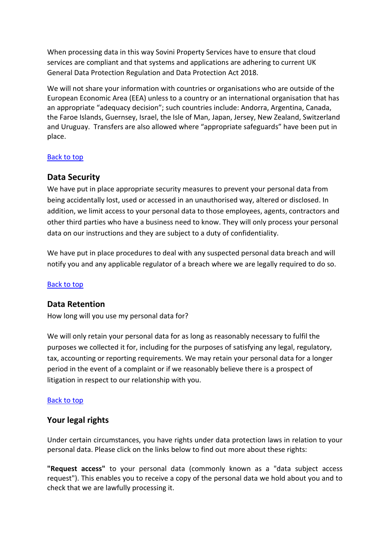When processing data in this way Sovini Property Services have to ensure that cloud services are compliant and that systems and applications are adhering to current UK General Data Protection Regulation and Data Protection Act 2018.

We will not share your information with countries or organisations who are outside of the European Economic Area (EEA) unless to a country or an international organisation that has an appropriate "adequacy decision"; such countries include: Andorra, Argentina, Canada, the Faroe Islands, Guernsey, Israel, the Isle of Man, Japan, Jersey, New Zealand, Switzerland and Uruguay. Transfers are also allowed where "appropriate safeguards" have been put in place.

#### [Back to top](#page-0-0)

# <span id="page-3-0"></span>**Data Security**

We have put in place appropriate security measures to prevent your personal data from being accidentally lost, used or accessed in an unauthorised way, altered or disclosed. In addition, we limit access to your personal data to those employees, agents, contractors and other third parties who have a business need to know. They will only process your personal data on our instructions and they are subject to a duty of confidentiality.

We have put in place procedures to deal with any suspected personal data breach and will notify you and any applicable regulator of a breach where we are legally required to do so.

#### [Back to top](#page-0-0)

# <span id="page-3-1"></span>**Data Retention**

How long will you use my personal data for?

We will only retain your personal data for as long as reasonably necessary to fulfil the purposes we collected it for, including for the purposes of satisfying any legal, regulatory, tax, accounting or reporting requirements. We may retain your personal data for a longer period in the event of a complaint or if we reasonably believe there is a prospect of litigation in respect to our relationship with you.

#### [Back to top](#page-0-0)

# <span id="page-3-2"></span>**Your legal rights**

Under certain circumstances, you have rights under data protection laws in relation to your personal data. Please click on the links below to find out more about these rights:

**"Request access"** to your personal data (commonly known as a "data subject access request"). This enables you to receive a copy of the personal data we hold about you and to check that we are lawfully processing it.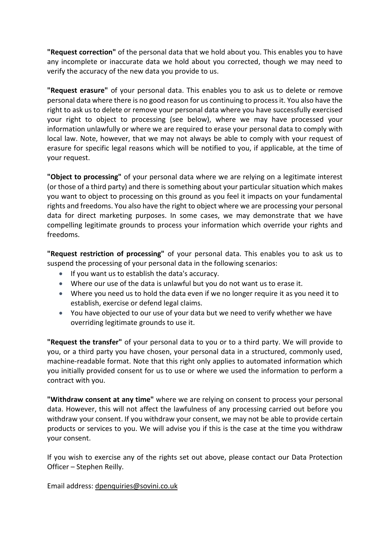**"Request correction"** of the personal data that we hold about you. This enables you to have any incomplete or inaccurate data we hold about you corrected, though we may need to verify the accuracy of the new data you provide to us.

**"Request erasure"** of your personal data. This enables you to ask us to delete or remove personal data where there is no good reason for us continuing to process it. You also have the right to ask us to delete or remove your personal data where you have successfully exercised your right to object to processing (see below), where we may have processed your information unlawfully or where we are required to erase your personal data to comply with local law. Note, however, that we may not always be able to comply with your request of erasure for specific legal reasons which will be notified to you, if applicable, at the time of your request.

**"Object to processing"** of your personal data where we are relying on a legitimate interest (or those of a third party) and there is something about your particular situation which makes you want to object to processing on this ground as you feel it impacts on your fundamental rights and freedoms. You also have the right to object where we are processing your personal data for direct marketing purposes. In some cases, we may demonstrate that we have compelling legitimate grounds to process your information which override your rights and freedoms.

**"Request restriction of processing"** of your personal data. This enables you to ask us to suspend the processing of your personal data in the following scenarios:

- If you want us to establish the data's accuracy.
- Where our use of the data is unlawful but you do not want us to erase it.
- Where you need us to hold the data even if we no longer require it as you need it to establish, exercise or defend legal claims.
- You have objected to our use of your data but we need to verify whether we have overriding legitimate grounds to use it.

**"Request the transfer"** of your personal data to you or to a third party. We will provide to you, or a third party you have chosen, your personal data in a structured, commonly used, machine-readable format. Note that this right only applies to automated information which you initially provided consent for us to use or where we used the information to perform a contract with you.

**"Withdraw consent at any time"** where we are relying on consent to process your personal data. However, this will not affect the lawfulness of any processing carried out before you withdraw your consent. If you withdraw your consent, we may not be able to provide certain products or services to you. We will advise you if this is the case at the time you withdraw your consent.

If you wish to exercise any of the rights set out above, please contact our Data Protection Officer – Stephen Reilly.

Email address: [dpenquiries@sovini.co.uk](mailto:dpenquiries@sovini.co.uk)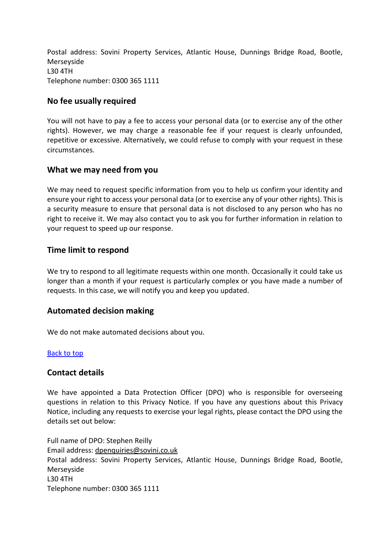Postal address: Sovini Property Services, Atlantic House, Dunnings Bridge Road, Bootle, Merseyside L30 4TH Telephone number: 0300 365 1111

## **No fee usually required**

You will not have to pay a fee to access your personal data (or to exercise any of the other rights). However, we may charge a reasonable fee if your request is clearly unfounded, repetitive or excessive. Alternatively, we could refuse to comply with your request in these circumstances.

## **What we may need from you**

We may need to request specific information from you to help us confirm your identity and ensure your right to access your personal data (or to exercise any of your other rights). This is a security measure to ensure that personal data is not disclosed to any person who has no right to receive it. We may also contact you to ask you for further information in relation to your request to speed up our response.

## **Time limit to respond**

We try to respond to all legitimate requests within one month. Occasionally it could take us longer than a month if your request is particularly complex or you have made a number of requests. In this case, we will notify you and keep you updated.

# <span id="page-5-0"></span>**Automated decision making**

We do not make automated decisions about you.

#### [Back to top](#page-0-0)

#### <span id="page-5-1"></span>**Contact details**

We have appointed a Data Protection Officer (DPO) who is responsible for overseeing questions in relation to this Privacy Notice. If you have any questions about this Privacy Notice, including any requests to exercise your legal rights, please contact the DPO using the details set out below:

Full name of DPO: Stephen Reilly Email address: [dpenquiries@sovini.co.uk](mailto:dpenquiries@sovini.co.uk) Postal address: Sovini Property Services, Atlantic House, Dunnings Bridge Road, Bootle, Merseyside L30 4TH Telephone number: 0300 365 1111